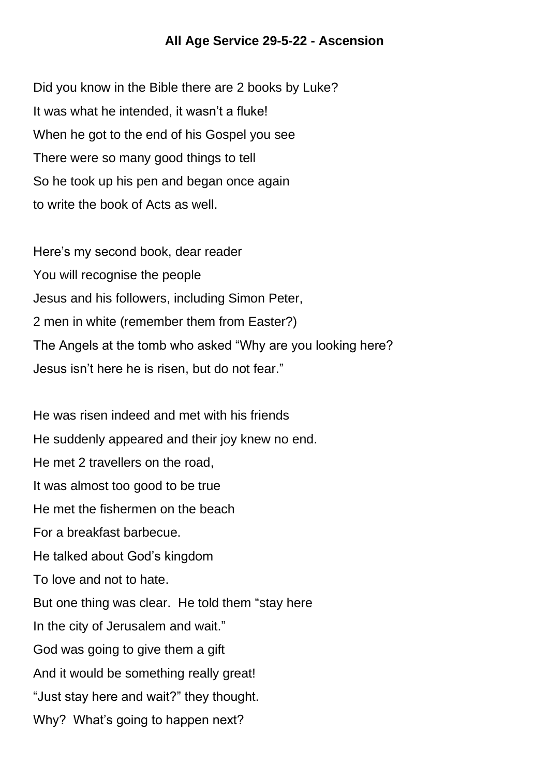## **All Age Service 29-5-22 - Ascension**

Did you know in the Bible there are 2 books by Luke? It was what he intended, it wasn't a fluke! When he got to the end of his Gospel you see There were so many good things to tell So he took up his pen and began once again to write the book of Acts as well.

Here's my second book, dear reader You will recognise the people Jesus and his followers, including Simon Peter, 2 men in white (remember them from Easter?) The Angels at the tomb who asked "Why are you looking here? Jesus isn't here he is risen, but do not fear."

He was risen indeed and met with his friends He suddenly appeared and their joy knew no end. He met 2 travellers on the road, It was almost too good to be true He met the fishermen on the beach For a breakfast barbecue. He talked about God's kingdom To love and not to hate. But one thing was clear. He told them "stay here In the city of Jerusalem and wait." God was going to give them a gift And it would be something really great! "Just stay here and wait?" they thought. Why? What's going to happen next?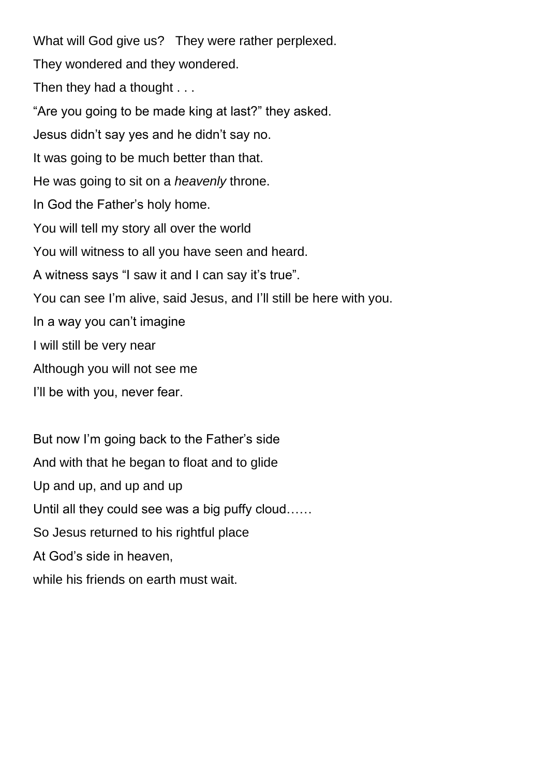What will God give us? They were rather perplexed. They wondered and they wondered. Then they had a thought . . . "Are you going to be made king at last?" they asked. Jesus didn't say yes and he didn't say no. It was going to be much better than that. He was going to sit on a *heavenly* throne. In God the Father's holy home. You will tell my story all over the world You will witness to all you have seen and heard. A witness says "I saw it and I can say it's true". You can see I'm alive, said Jesus, and I'll still be here with you. In a way you can't imagine I will still be very near Although you will not see me I'll be with you, never fear.

But now I'm going back to the Father's side And with that he began to float and to glide Up and up, and up and up Until all they could see was a big puffy cloud…… So Jesus returned to his rightful place At God's side in heaven, while his friends on earth must wait.